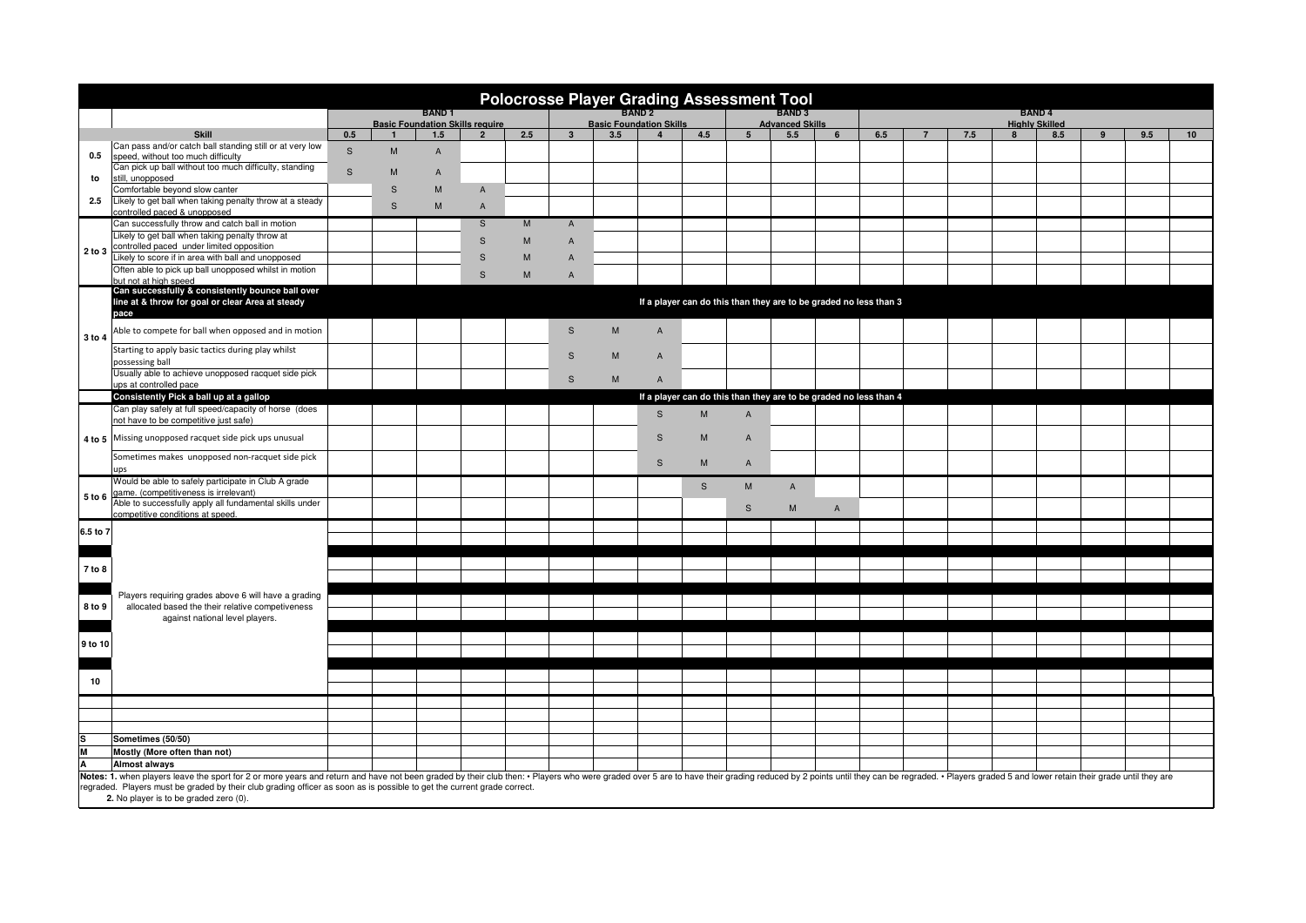| <b>Polocrosse Player Grading Assessment Tool</b>                                                                                                                  |                                                                                                                                                                                                                               |                                                                                                                       |                |                |                         |     |                                |     |                |              |                 |                                        |                |                                                                   |                                       |     |   |     |  |     |    |  |
|-------------------------------------------------------------------------------------------------------------------------------------------------------------------|-------------------------------------------------------------------------------------------------------------------------------------------------------------------------------------------------------------------------------|-----------------------------------------------------------------------------------------------------------------------|----------------|----------------|-------------------------|-----|--------------------------------|-----|----------------|--------------|-----------------|----------------------------------------|----------------|-------------------------------------------------------------------|---------------------------------------|-----|---|-----|--|-----|----|--|
|                                                                                                                                                                   |                                                                                                                                                                                                                               | <b>BAND1</b><br><b>Basic Foundation Skills require</b>                                                                |                |                |                         |     | <b>Basic Foundation Skills</b> |     |                |              |                 | <b>BAND3</b><br><b>Advanced Skills</b> |                |                                                                   | <b>BAND4</b><br><b>Highly Skilled</b> |     |   |     |  |     |    |  |
|                                                                                                                                                                   | <b>Skill</b>                                                                                                                                                                                                                  | 0.5                                                                                                                   | $\overline{1}$ | 1.5            | $\overline{2}$          | 2.5 | $\overline{\mathbf{3}}$        | 3.5 | $\overline{4}$ | 4.5          | $5\overline{5}$ | 5.5                                    | 6              | 6.5                                                               |                                       | 7.5 | 8 | 8.5 |  | 9.5 | 10 |  |
|                                                                                                                                                                   | Can pass and/or catch ball standing still or at very low                                                                                                                                                                      | $\mathsf S$                                                                                                           | M              | $\overline{A}$ |                         |     |                                |     |                |              |                 |                                        |                |                                                                   |                                       |     |   |     |  |     |    |  |
| 0.5                                                                                                                                                               | speed, without too much difficulty                                                                                                                                                                                            |                                                                                                                       |                |                |                         |     |                                |     |                |              |                 |                                        |                |                                                                   |                                       |     |   |     |  |     |    |  |
|                                                                                                                                                                   | Can pick up ball without too much difficulty, standing<br>still, unopposed                                                                                                                                                    | $\mathsf{s}$                                                                                                          | M              | $\overline{A}$ |                         |     |                                |     |                |              |                 |                                        |                |                                                                   |                                       |     |   |     |  |     |    |  |
| to                                                                                                                                                                | Comfortable beyond slow canter                                                                                                                                                                                                |                                                                                                                       | $\mathsf S$    | M              | $\mathsf{A}$            |     |                                |     |                |              |                 |                                        |                |                                                                   |                                       |     |   |     |  |     |    |  |
| 2.5                                                                                                                                                               | Likely to get ball when taking penalty throw at a steady                                                                                                                                                                      |                                                                                                                       | $\mathsf S$    |                |                         |     |                                |     |                |              |                 |                                        |                |                                                                   |                                       |     |   |     |  |     |    |  |
|                                                                                                                                                                   | controlled paced & unopposed                                                                                                                                                                                                  |                                                                                                                       |                | M              | $\overline{A}$          |     |                                |     |                |              |                 |                                        |                |                                                                   |                                       |     |   |     |  |     |    |  |
| 2 to 3                                                                                                                                                            | Can successfully throw and catch ball in motion                                                                                                                                                                               |                                                                                                                       |                |                | $\overline{\mathbf{s}}$ | M   | $\mathsf{A}$                   |     |                |              |                 |                                        |                |                                                                   |                                       |     |   |     |  |     |    |  |
|                                                                                                                                                                   | Likely to get ball when taking penalty throw at<br>controlled paced under limited opposition                                                                                                                                  |                                                                                                                       |                |                | S                       | M   | $\overline{A}$                 |     |                |              |                 |                                        |                |                                                                   |                                       |     |   |     |  |     |    |  |
|                                                                                                                                                                   | Likely to score if in area with ball and unopposed                                                                                                                                                                            |                                                                                                                       |                |                | $\mathsf S$             | M   | $\mathsf{A}$                   |     |                |              |                 |                                        |                |                                                                   |                                       |     |   |     |  |     |    |  |
|                                                                                                                                                                   | Often able to pick up ball unopposed whilst in motion                                                                                                                                                                         |                                                                                                                       |                |                | S                       | M   |                                |     |                |              |                 |                                        |                |                                                                   |                                       |     |   |     |  |     |    |  |
|                                                                                                                                                                   | but not at high speed                                                                                                                                                                                                         |                                                                                                                       |                |                |                         |     | $\overline{A}$                 |     |                |              |                 |                                        |                |                                                                   |                                       |     |   |     |  |     |    |  |
| 3 to 4                                                                                                                                                            |                                                                                                                                                                                                                               | Can successfully & consistently bounce ball over<br>If a player can do this than they are to be graded no less than 3 |                |                |                         |     |                                |     |                |              |                 |                                        |                |                                                                   |                                       |     |   |     |  |     |    |  |
|                                                                                                                                                                   | line at & throw for goal or clear Area at steady<br>pace                                                                                                                                                                      |                                                                                                                       |                |                |                         |     |                                |     |                |              |                 |                                        |                |                                                                   |                                       |     |   |     |  |     |    |  |
|                                                                                                                                                                   |                                                                                                                                                                                                                               |                                                                                                                       |                |                |                         |     |                                |     |                |              |                 |                                        |                |                                                                   |                                       |     |   |     |  |     |    |  |
|                                                                                                                                                                   | Able to compete for ball when opposed and in motion                                                                                                                                                                           |                                                                                                                       |                |                |                         |     | S                              | M   | $\mathsf{A}$   |              |                 |                                        |                |                                                                   |                                       |     |   |     |  |     |    |  |
|                                                                                                                                                                   | Starting to apply basic tactics during play whilst                                                                                                                                                                            |                                                                                                                       |                |                |                         |     | $\mathbb S$                    | M   | $\mathsf A$    |              |                 |                                        |                |                                                                   |                                       |     |   |     |  |     |    |  |
|                                                                                                                                                                   | possessing ball                                                                                                                                                                                                               |                                                                                                                       |                |                |                         |     |                                |     |                |              |                 |                                        |                |                                                                   |                                       |     |   |     |  |     |    |  |
|                                                                                                                                                                   | Usually able to achieve unopposed racquet side pick<br>ups at controlled pace                                                                                                                                                 |                                                                                                                       |                |                |                         |     | S                              | M   | $\mathsf{A}$   |              |                 |                                        |                |                                                                   |                                       |     |   |     |  |     |    |  |
|                                                                                                                                                                   | Consistently Pick a ball up at a gallop                                                                                                                                                                                       |                                                                                                                       |                |                |                         |     |                                |     |                |              |                 |                                        |                | If a player can do this than they are to be graded no less than 4 |                                       |     |   |     |  |     |    |  |
|                                                                                                                                                                   | Can play safely at full speed/capacity of horse (does                                                                                                                                                                         |                                                                                                                       |                |                |                         |     |                                |     |                |              |                 |                                        |                |                                                                   |                                       |     |   |     |  |     |    |  |
|                                                                                                                                                                   | not have to be competitive just safe)                                                                                                                                                                                         |                                                                                                                       |                |                |                         |     |                                |     | $\mathsf{s}$   | M            | $\overline{A}$  |                                        |                |                                                                   |                                       |     |   |     |  |     |    |  |
|                                                                                                                                                                   | 4 to 5 Missing unopposed racquet side pick ups unusual                                                                                                                                                                        |                                                                                                                       |                |                |                         |     |                                |     | $\mathsf{s}$   | M            | $\mathsf{A}$    |                                        |                |                                                                   |                                       |     |   |     |  |     |    |  |
|                                                                                                                                                                   |                                                                                                                                                                                                                               |                                                                                                                       |                |                |                         |     |                                |     |                |              |                 |                                        |                |                                                                   |                                       |     |   |     |  |     |    |  |
|                                                                                                                                                                   | Sometimes makes unopposed non-racquet side pick                                                                                                                                                                               |                                                                                                                       |                |                |                         |     |                                |     | $\mathbb S$    | M            | $\overline{A}$  |                                        |                |                                                                   |                                       |     |   |     |  |     |    |  |
| 5 to 6                                                                                                                                                            | ups<br>Would be able to safely participate in Club A grade                                                                                                                                                                    |                                                                                                                       |                |                |                         |     |                                |     |                |              |                 |                                        |                |                                                                   |                                       |     |   |     |  |     |    |  |
|                                                                                                                                                                   | game. (competitiveness is irrelevant)                                                                                                                                                                                         |                                                                                                                       |                |                |                         |     |                                |     |                | $\mathsf{s}$ | M               | $\overline{A}$                         |                |                                                                   |                                       |     |   |     |  |     |    |  |
|                                                                                                                                                                   | Able to successfully apply all fundamental skills under                                                                                                                                                                       |                                                                                                                       |                |                |                         |     |                                |     |                |              | S               | M                                      | $\overline{A}$ |                                                                   |                                       |     |   |     |  |     |    |  |
|                                                                                                                                                                   | competitive conditions at speed.                                                                                                                                                                                              |                                                                                                                       |                |                |                         |     |                                |     |                |              |                 |                                        |                |                                                                   |                                       |     |   |     |  |     |    |  |
| 6.5 to 7                                                                                                                                                          |                                                                                                                                                                                                                               |                                                                                                                       |                |                |                         |     |                                |     |                |              |                 |                                        |                |                                                                   |                                       |     |   |     |  |     |    |  |
|                                                                                                                                                                   |                                                                                                                                                                                                                               |                                                                                                                       |                |                |                         |     |                                |     |                |              |                 |                                        |                |                                                                   |                                       |     |   |     |  |     |    |  |
|                                                                                                                                                                   |                                                                                                                                                                                                                               |                                                                                                                       |                |                |                         |     |                                |     |                |              |                 |                                        |                |                                                                   |                                       |     |   |     |  |     |    |  |
| 7 to 8                                                                                                                                                            |                                                                                                                                                                                                                               |                                                                                                                       |                |                |                         |     |                                |     |                |              |                 |                                        |                |                                                                   |                                       |     |   |     |  |     |    |  |
|                                                                                                                                                                   |                                                                                                                                                                                                                               |                                                                                                                       |                |                |                         |     |                                |     |                |              |                 |                                        |                |                                                                   |                                       |     |   |     |  |     |    |  |
| 8 to 9                                                                                                                                                            | Players requiring grades above 6 will have a grading<br>allocated based the their relative competiveness<br>against national level players.                                                                                   |                                                                                                                       |                |                |                         |     |                                |     |                |              |                 |                                        |                |                                                                   |                                       |     |   |     |  |     |    |  |
|                                                                                                                                                                   |                                                                                                                                                                                                                               |                                                                                                                       |                |                |                         |     |                                |     |                |              |                 |                                        |                |                                                                   |                                       |     |   |     |  |     |    |  |
|                                                                                                                                                                   |                                                                                                                                                                                                                               |                                                                                                                       |                |                |                         |     |                                |     |                |              |                 |                                        |                |                                                                   |                                       |     |   |     |  |     |    |  |
| 9 to 10                                                                                                                                                           |                                                                                                                                                                                                                               |                                                                                                                       |                |                |                         |     |                                |     |                |              |                 |                                        |                |                                                                   |                                       |     |   |     |  |     |    |  |
|                                                                                                                                                                   |                                                                                                                                                                                                                               |                                                                                                                       |                |                |                         |     |                                |     |                |              |                 |                                        |                |                                                                   |                                       |     |   |     |  |     |    |  |
|                                                                                                                                                                   |                                                                                                                                                                                                                               |                                                                                                                       |                |                |                         |     |                                |     |                |              |                 |                                        |                |                                                                   |                                       |     |   |     |  |     |    |  |
| 10                                                                                                                                                                |                                                                                                                                                                                                                               |                                                                                                                       |                |                |                         |     |                                |     |                |              |                 |                                        |                |                                                                   |                                       |     |   |     |  |     |    |  |
|                                                                                                                                                                   |                                                                                                                                                                                                                               |                                                                                                                       |                |                |                         |     |                                |     |                |              |                 |                                        |                |                                                                   |                                       |     |   |     |  |     |    |  |
|                                                                                                                                                                   |                                                                                                                                                                                                                               |                                                                                                                       |                |                |                         |     |                                |     |                |              |                 |                                        |                |                                                                   |                                       |     |   |     |  |     |    |  |
| ls                                                                                                                                                                |                                                                                                                                                                                                                               |                                                                                                                       |                |                |                         |     |                                |     |                |              |                 |                                        |                |                                                                   |                                       |     |   |     |  |     |    |  |
|                                                                                                                                                                   | Sometimes (50/50)                                                                                                                                                                                                             |                                                                                                                       |                |                |                         |     |                                |     |                |              |                 |                                        |                |                                                                   |                                       |     |   |     |  |     |    |  |
| M                                                                                                                                                                 | Mostly (More often than not)                                                                                                                                                                                                  |                                                                                                                       |                |                |                         |     |                                |     |                |              |                 |                                        |                |                                                                   |                                       |     |   |     |  |     |    |  |
| I٨                                                                                                                                                                | <b>Almost always</b>                                                                                                                                                                                                          |                                                                                                                       |                |                |                         |     |                                |     |                |              |                 |                                        |                |                                                                   |                                       |     |   |     |  |     |    |  |
|                                                                                                                                                                   | Notes: 1. when players leave the sport for 2 or more years and return and have not been graded by their club then: · Players who were graded over 5 are to have their grading reduced by 2 points until they can be regraded. |                                                                                                                       |                |                |                         |     |                                |     |                |              |                 |                                        |                |                                                                   |                                       |     |   |     |  |     |    |  |
| regraded. Players must be graded by their club grading officer as soon as is possible to get the current grade correct.<br>2. No player is to be graded zero (0). |                                                                                                                                                                                                                               |                                                                                                                       |                |                |                         |     |                                |     |                |              |                 |                                        |                |                                                                   |                                       |     |   |     |  |     |    |  |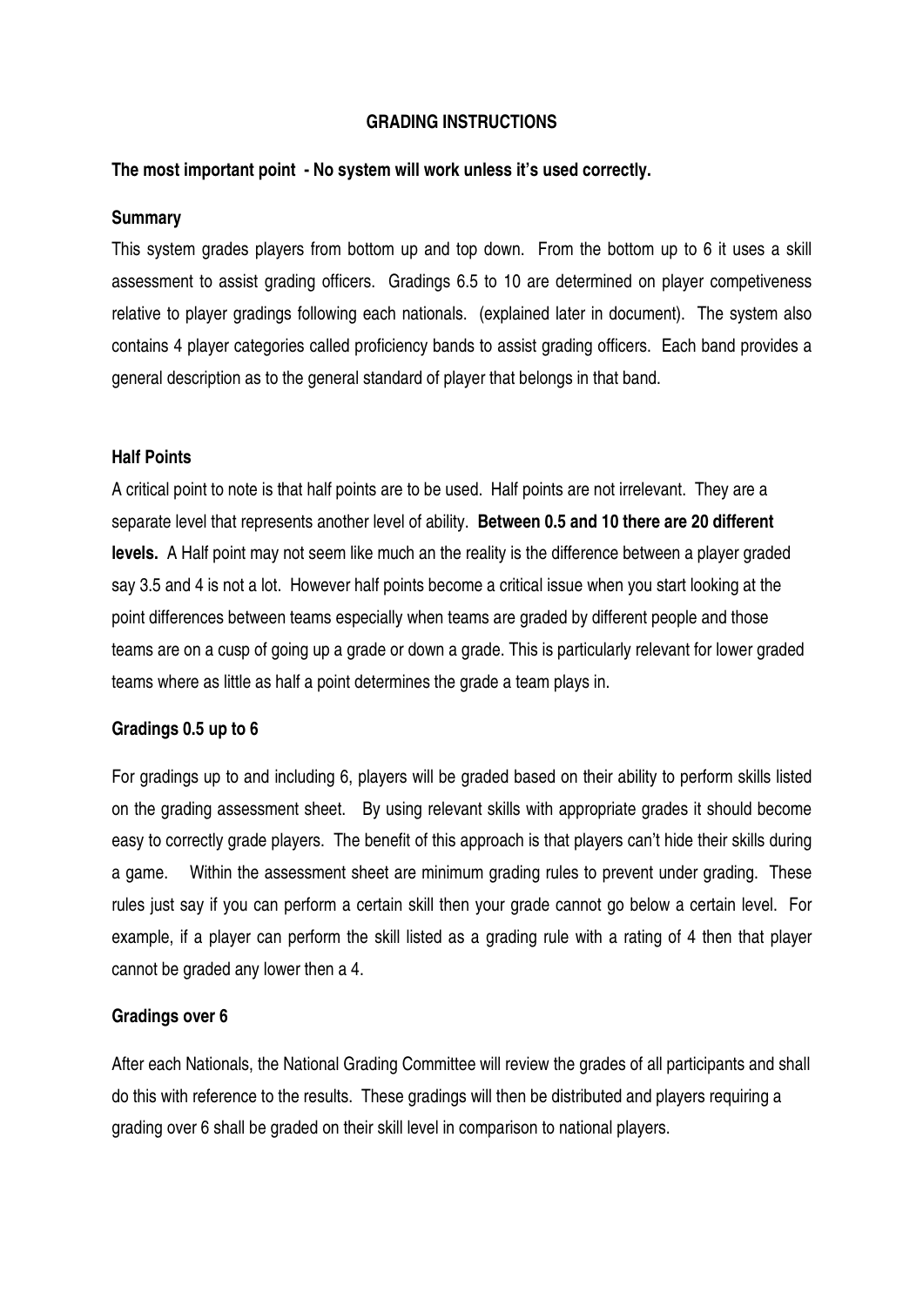### **GRADING INSTRUCTIONS**

## **The most important point - No system will work unless it's used correctly.**

### **Summary**

This system grades players from bottom up and top down. From the bottom up to 6 it uses a skill assessment to assist grading officers. Gradings 6.5 to 10 are determined on player competiveness relative to player gradings following each nationals. (explained later in document). The system also contains 4 player categories called proficiency bands to assist grading officers. Each band provides a general description as to the general standard of player that belongs in that band.

## **Half Points**

A critical point to note is that half points are to be used. Half points are not irrelevant. They are a separate level that represents another level of ability. **Between 0.5 and 10 there are 20 different levels.** A Half point may not seem like much an the reality is the difference between a player graded say 3.5 and 4 is not a lot. However half points become a critical issue when you start looking at the point differences between teams especially when teams are graded by different people and those teams are on a cusp of going up a grade or down a grade. This is particularly relevant for lower graded teams where as little as half a point determines the grade a team plays in.

### **Gradings 0.5 up to 6**

For gradings up to and including 6, players will be graded based on their ability to perform skills listed on the grading assessment sheet. By using relevant skills with appropriate grades it should become easy to correctly grade players. The benefit of this approach is that players can't hide their skills during a game. Within the assessment sheet are minimum grading rules to prevent under grading. These rules just say if you can perform a certain skill then your grade cannot go below a certain level. For example, if a player can perform the skill listed as a grading rule with a rating of 4 then that player cannot be graded any lower then a 4.

### **Gradings over 6**

After each Nationals, the National Grading Committee will review the grades of all participants and shall do this with reference to the results. These gradings will then be distributed and players requiring a grading over 6 shall be graded on their skill level in comparison to national players.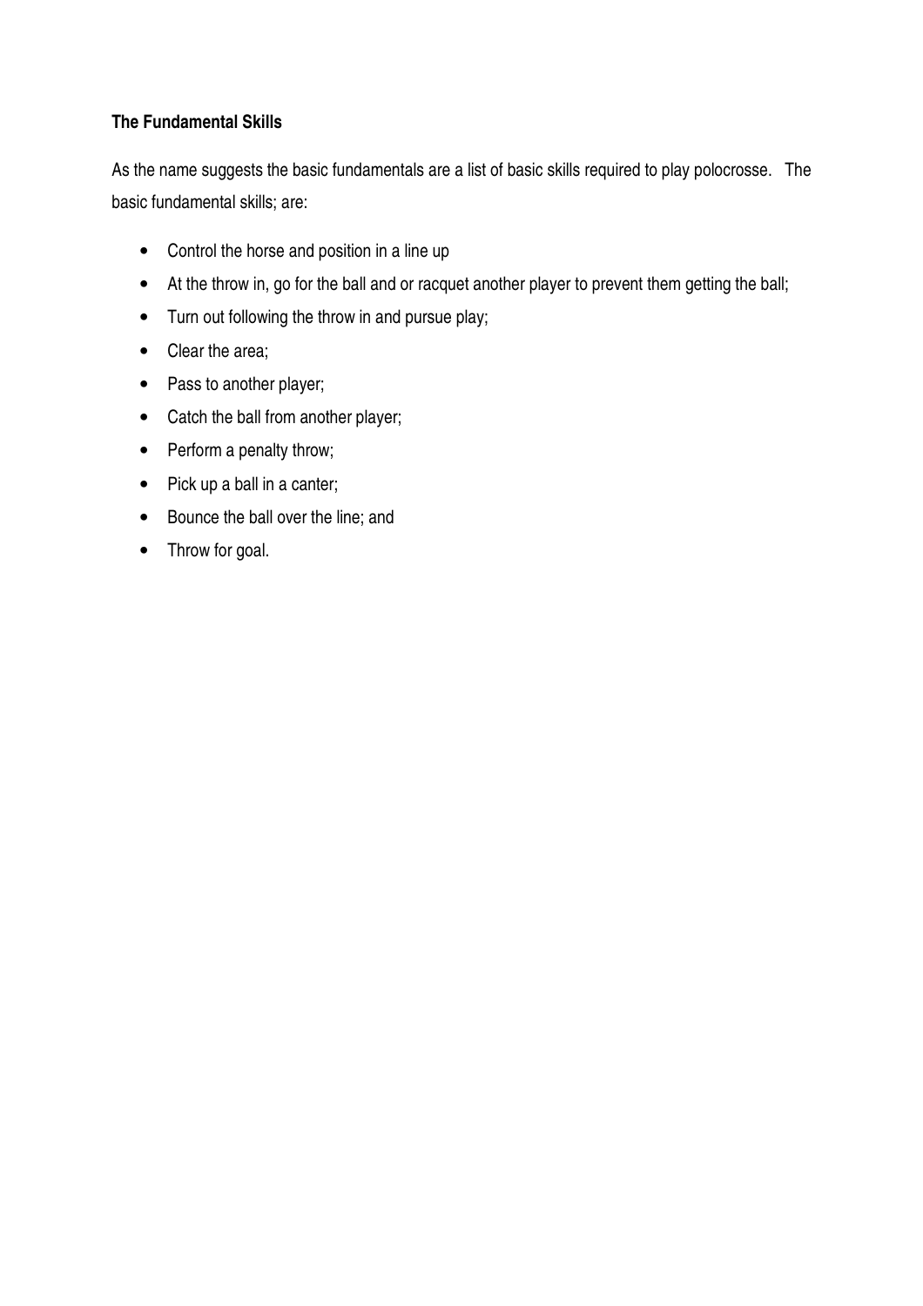# **The Fundamental Skills**

As the name suggests the basic fundamentals are a list of basic skills required to play polocrosse. The basic fundamental skills; are:

- Control the horse and position in a line up
- At the throw in, go for the ball and or racquet another player to prevent them getting the ball;
- Turn out following the throw in and pursue play;
- Clear the area;
- Pass to another player;
- Catch the ball from another player;
- Perform a penalty throw;
- Pick up a ball in a canter;
- Bounce the ball over the line; and
- Throw for goal.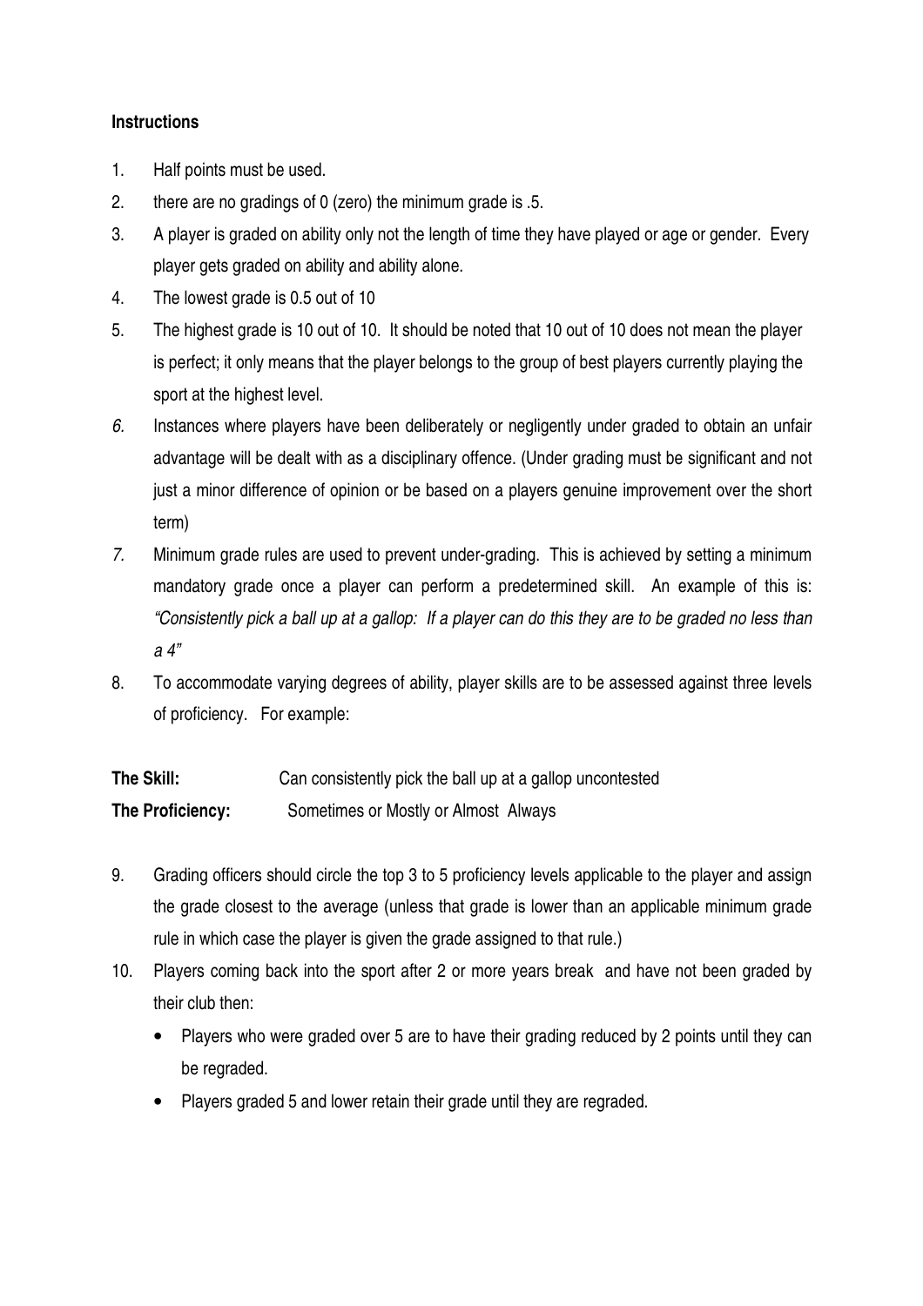# **Instructions**

- 1. Half points must be used.
- 2. there are no gradings of 0 (zero) the minimum grade is .5.
- 3. A player is graded on ability only not the length of time they have played or age or gender. Every player gets graded on ability and ability alone.
- 4. The lowest grade is 0.5 out of 10
- 5. The highest grade is 10 out of 10. It should be noted that 10 out of 10 does not mean the player is perfect; it only means that the player belongs to the group of best players currently playing the sport at the highest level.
- *6.* Instances where players have been deliberately or negligently under graded to obtain an unfair advantage will be dealt with as a disciplinary offence. (Under grading must be significant and not just a minor difference of opinion or be based on a players genuine improvement over the short term)
- *7.* Minimum grade rules are used to prevent under-grading. This is achieved by setting a minimum mandatory grade once a player can perform a predetermined skill. An example of this is: *"Consistently pick a ball up at a gallop: If a player can do this they are to be graded no less than a 4"*
- 8. To accommodate varying degrees of ability, player skills are to be assessed against three levels of proficiency. For example:

| The Skill:       | Can consistently pick the ball up at a gallop uncontested |
|------------------|-----------------------------------------------------------|
| The Proficiency: | Sometimes or Mostly or Almost Always                      |

- 9. Grading officers should circle the top 3 to 5 proficiency levels applicable to the player and assign the grade closest to the average (unless that grade is lower than an applicable minimum grade rule in which case the player is given the grade assigned to that rule.)
- 10. Players coming back into the sport after 2 or more years break and have not been graded by their club then:
	- Players who were graded over 5 are to have their grading reduced by 2 points until they can be regraded.
	- Players graded 5 and lower retain their grade until they are regraded.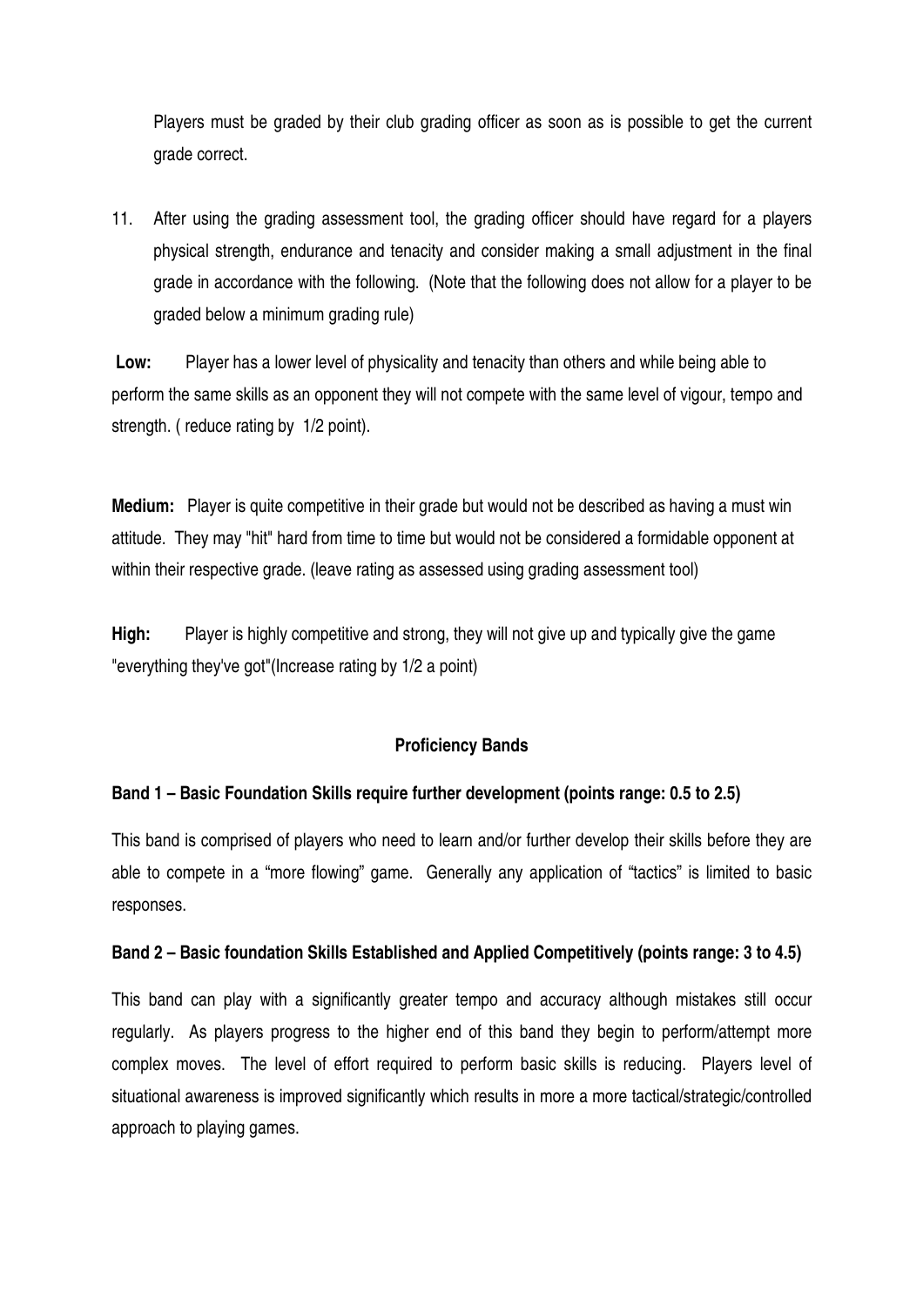Players must be graded by their club grading officer as soon as is possible to get the current grade correct.

11. After using the grading assessment tool, the grading officer should have regard for a players physical strength, endurance and tenacity and consider making a small adjustment in the final grade in accordance with the following. (Note that the following does not allow for a player to be graded below a minimum grading rule)

 **Low:** Player has a lower level of physicality and tenacity than others and while being able to perform the same skills as an opponent they will not compete with the same level of vigour, tempo and strength. ( reduce rating by 1/2 point).

**Medium:** Player is quite competitive in their grade but would not be described as having a must win attitude. They may "hit" hard from time to time but would not be considered a formidable opponent at within their respective grade. (leave rating as assessed using grading assessment tool)

**High:** Player is highly competitive and strong, they will not give up and typically give the game "everything they've got"(Increase rating by 1/2 a point)

### **Proficiency Bands**

# **Band 1 – Basic Foundation Skills require further development (points range: 0.5 to 2.5)**

This band is comprised of players who need to learn and/or further develop their skills before they are able to compete in a "more flowing" game. Generally any application of "tactics" is limited to basic responses.

### **Band 2 – Basic foundation Skills Established and Applied Competitively (points range: 3 to 4.5)**

This band can play with a significantly greater tempo and accuracy although mistakes still occur regularly. As players progress to the higher end of this band they begin to perform/attempt more complex moves. The level of effort required to perform basic skills is reducing. Players level of situational awareness is improved significantly which results in more a more tactical/strategic/controlled approach to playing games.